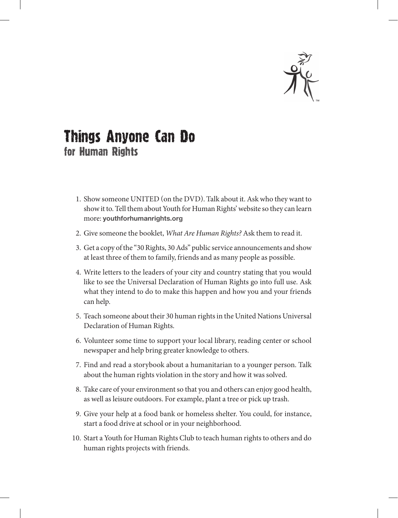

## Things Anyone Can Do for Human Rights

- 1. Show someone UNITED (on the DVD). Talk about it. Ask who they want to show it to. Tell them about Youth for Human Rights' website so they can learn more: **youthforhumanrights .org**
- 2. Give someone the booklet, *What Are Human Rights?* Ask them to read it.
- 3. Get a copy of the "30 Rights, 30 Ads" public service announcements and show at least three of them to family, friends and as many people as possible.
- 4. Write letters to the leaders of your city and country stating that you would like to see the Universal Declaration of Human Rights go into full use. Ask what they intend to do to make this happen and how you and your friends can help.
- 5. Teach someone about their 30 human rights in the United Nations Universal Declaration of Human Rights.
- 6. Volunteer some time to support your local library, reading center or school newspaper and help bring greater knowledge to others.
- 7. Find and read a storybook about a humanitarian to a younger person. Talk about the human rights violation in the story and how it was solved.
- 8. Take care of your environment so that you and others can enjoy good health, as well as leisure outdoors. For example, plant a tree or pick up trash.
- 9. Give your help at a food bank or homeless shelter. You could, for instance, start a food drive at school or in your neighborhood.
- 10. Start a Youth for Human Rights Club to teach human rights to others and do human rights projects with friends.